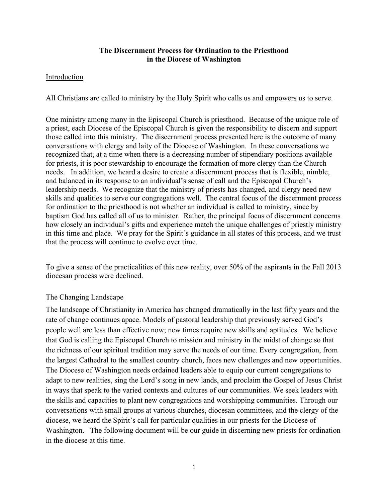### **The Discernment Process for Ordination to the Priesthood in the Diocese of Washington**

### Introduction

All Christians are called to ministry by the Holy Spirit who calls us and empowers us to serve.

One ministry among many in the Episcopal Church is priesthood. Because of the unique role of a priest, each Diocese of the Episcopal Church is given the responsibility to discern and support those called into this ministry. The discernment process presented here is the outcome of many conversations with clergy and laity of the Diocese of Washington. In these conversations we recognized that, at a time when there is a decreasing number of stipendiary positions available for priests, it is poor stewardship to encourage the formation of more clergy than the Church needs. In addition, we heard a desire to create a discernment process that is flexible, nimble, and balanced in its response to an individual's sense of call and the Episcopal Church's leadership needs. We recognize that the ministry of priests has changed, and clergy need new skills and qualities to serve our congregations well. The central focus of the discernment process for ordination to the priesthood is not whether an individual is called to ministry, since by baptism God has called all of us to minister. Rather, the principal focus of discernment concerns how closely an individual's gifts and experience match the unique challenges of priestly ministry in this time and place. We pray for the Spirit's guidance in all states of this process, and we trust that the process will continue to evolve over time.

To give a sense of the practicalities of this new reality, over 50% of the aspirants in the Fall 2013 diocesan process were declined.

### The Changing Landscape

The landscape of Christianity in America has changed dramatically in the last fifty years and the rate of change continues apace. Models of pastoral leadership that previously served God's people well are less than effective now; new times require new skills and aptitudes. We believe that God is calling the Episcopal Church to mission and ministry in the midst of change so that the richness of our spiritual tradition may serve the needs of our time. Every congregation, from the largest Cathedral to the smallest country church, faces new challenges and new opportunities. The Diocese of Washington needs ordained leaders able to equip our current congregations to adapt to new realities, sing the Lord's song in new lands, and proclaim the Gospel of Jesus Christ in ways that speak to the varied contexts and cultures of our communities. We seek leaders with the skills and capacities to plant new congregations and worshipping communities. Through our conversations with small groups at various churches, diocesan committees, and the clergy of the diocese, we heard the Spirit's call for particular qualities in our priests for the Diocese of Washington. The following document will be our guide in discerning new priests for ordination in the diocese at this time.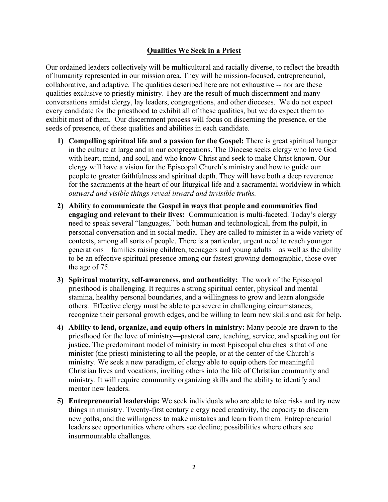### **Qualities We Seek in a Priest**

Our ordained leaders collectively will be multicultural and racially diverse, to reflect the breadth of humanity represented in our mission area. They will be mission-focused, entrepreneurial, collaborative, and adaptive. The qualities described here are not exhaustive -- nor are these qualities exclusive to priestly ministry. They are the result of much discernment and many conversations amidst clergy, lay leaders, congregations, and other dioceses. We do not expect every candidate for the priesthood to exhibit all of these qualities, but we do expect them to exhibit most of them. Our discernment process will focus on discerning the presence, or the seeds of presence, of these qualities and abilities in each candidate.

- **1) Compelling spiritual life and a passion for the Gospel:** There is great spiritual hunger in the culture at large and in our congregations. The Diocese seeks clergy who love God with heart, mind, and soul, and who know Christ and seek to make Christ known. Our clergy will have a vision for the Episcopal Church's ministry and how to guide our people to greater faithfulness and spiritual depth. They will have both a deep reverence for the sacraments at the heart of our liturgical life and a sacramental worldview in which *outward and visible things reveal inward and invisible truths.*
- **2) Ability to communicate the Gospel in ways that people and communities find engaging and relevant to their lives:** Communication is multi-faceted. Today's clergy need to speak several "languages," both human and technological, from the pulpit, in personal conversation and in social media. They are called to minister in a wide variety of contexts, among all sorts of people. There is a particular, urgent need to reach younger generations—families raising children, teenagers and young adults—as well as the ability to be an effective spiritual presence among our fastest growing demographic, those over the age of 75.
- **3) Spiritual maturity, self-awareness, and authenticity:** The work of the Episcopal priesthood is challenging. It requires a strong spiritual center, physical and mental stamina, healthy personal boundaries, and a willingness to grow and learn alongside others. Effective clergy must be able to persevere in challenging circumstances, recognize their personal growth edges, and be willing to learn new skills and ask for help.
- **4) Ability to lead, organize, and equip others in ministry:** Many people are drawn to the priesthood for the love of ministry—pastoral care, teaching, service, and speaking out for justice. The predominant model of ministry in most Episcopal churches is that of one minister (the priest) ministering to all the people, or at the center of the Church's ministry. We seek a new paradigm, of clergy able to equip others for meaningful Christian lives and vocations, inviting others into the life of Christian community and ministry. It will require community organizing skills and the ability to identify and mentor new leaders.
- **5) Entrepreneurial leadership:** We seek individuals who are able to take risks and try new things in ministry. Twenty-first century clergy need creativity, the capacity to discern new paths, and the willingness to make mistakes and learn from them. Entrepreneurial leaders see opportunities where others see decline; possibilities where others see insurmountable challenges.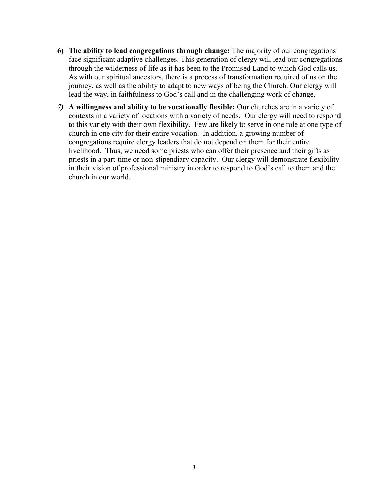- **6) The ability to lead congregations through change:** The majority of our congregations face significant adaptive challenges. This generation of clergy will lead our congregations through the wilderness of life as it has been to the Promised Land to which God calls us. As with our spiritual ancestors, there is a process of transformation required of us on the journey, as well as the ability to adapt to new ways of being the Church. Our clergy will lead the way, in faithfulness to God's call and in the challenging work of change.
- *7)* **A willingness and ability to be vocationally flexible:** Our churches are in a variety of contexts in a variety of locations with a variety of needs. Our clergy will need to respond to this variety with their own flexibility. Few are likely to serve in one role at one type of church in one city for their entire vocation. In addition, a growing number of congregations require clergy leaders that do not depend on them for their entire livelihood. Thus, we need some priests who can offer their presence and their gifts as priests in a part-time or non-stipendiary capacity. Our clergy will demonstrate flexibility in their vision of professional ministry in order to respond to God's call to them and the church in our world.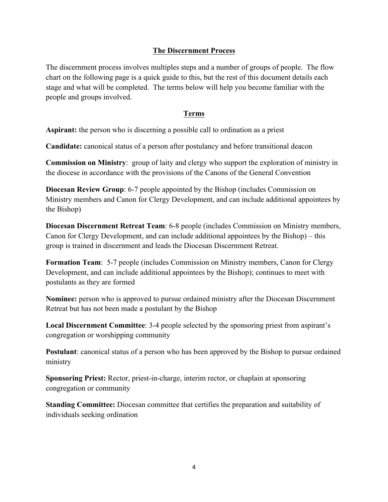### **The Discernment Process**

The discernment process involves multiples steps and a number of groups of people. The flow chart on the following page is a quick guide to this, but the rest of this document details each stage and what will be completed. The terms below will help you become familiar with the people and groups involved.

### **Terms**

**Aspirant:** the person who is discerning a possible call to ordination as a priest

**Candidate:** canonical status of a person after postulancy and before transitional deacon

**Commission on Ministry**: group of laity and clergy who support the exploration of ministry in the diocese in accordance with the provisions of the Canons of the General Convention

**Diocesan Review Group**: 6-7 people appointed by the Bishop (includes Commission on Ministry members and Canon for Clergy Development, and can include additional appointees by the Bishop)

**Diocesan Discernment Retreat Team**: 6-8 people (includes Commission on Ministry members, Canon for Clergy Development, and can include additional appointees by the Bishop) – this group is trained in discernment and leads the Diocesan Discernment Retreat.

**Formation Team**: 5-7 people (includes Commission on Ministry members, Canon for Clergy Development, and can include additional appointees by the Bishop); continues to meet with postulants as they are formed

**Nominee:** person who is approved to pursue ordained ministry after the Diocesan Discernment Retreat but has not been made a postulant by the Bishop

**Local Discernment Committee**: 3-4 people selected by the sponsoring priest from aspirant's congregation or worshipping community

**Postulant**: canonical status of a person who has been approved by the Bishop to pursue ordained ministry

**Sponsoring Priest:** Rector, priest-in-charge, interim rector, or chaplain at sponsoring congregation or community

**Standing Committee:** Diocesan committee that certifies the preparation and suitability of individuals seeking ordination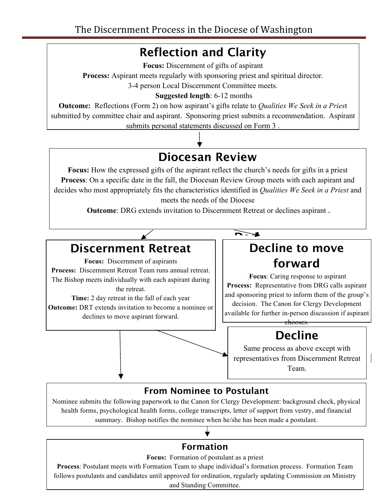## **Reflection and Clarity**

**Focus:** Discernment of gifts of aspirant

**Process:** Aspirant meets regularly with sponsoring priest and spiritual director.

3-4 person Local Discernment Committee meets.

### **Suggested length**: 6-12 months

**Outcome:** Reflections (Form 2) on how aspirant's gifts relate to *Qualities We Seek in a Pries*t submitted by committee chair and aspirant. Sponsoring priest submits a recommendation. Aspirant submits personal statements discussed on Form 3 .

**R**

# **Diocesan Review**

**Focus:** How the expressed gifts of the aspirant reflect the church's needs for gifts in a priest **f Process**: On a specific date in the fall, the Diocesan Review Group meets with each aspirant and **rivies.** On a specific date in the ran, the Diocesan Keview Group meets while each aspirant and decides who most appropriately fits the characteristics identified in *Qualities We Seek in a Priest* and meets the needs of the Diocese **e**

 **Outcome**: DRG extends invitation to Discernment Retreat or declines aspirant . **c**

**Decl**

**war**

response

DRG

**t**

# **Discernment Retreat**

**Focus:** Discernment of aspirants **Process:** Discernment Retreat Team runs annual retreat. The Bishop meets individually with each aspirant during **n** the retreat.

**Time:** 2 day retreat in the fall of each year **Outcome:** DRT extends invitation to become a nominee or **a** declines to move aspirant forward. **n**

## **Decline to move forward**

**Focus**: Caring response to aspirant **Process:** Representative from DRG calls aspirant and sponsoring priest to inform them of the group's<br>
decision The Canon for Cleroy Development decision. The Canon for Clergy Development available for further in-person discussion if aspirant chooses.

### **Decline**

Same process as above except with representatives from Discernment Retreat Team.

### **Perfo** Posture From Nominee to Postulant

**d**

Nominee submits the following paperwork to the Canon for Clergy Development: background check, physical summary. Bishop notifies the nominee when he/she has been made a postulant. health forms, psychological health forms, college transcripts, letter of support from vestry, and financial

## **Formation t**

Focus: Formation of postulant as a priest

**Process**: Postulant meets with Formation Team to shape individual's formation process. Formation Team  $\blacksquare$ follows postulants and candidates until approved for ordination, regularly updating Commission on Ministry and Standing Committee.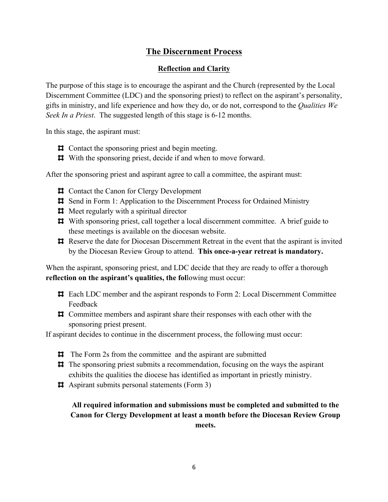### **The Discernment Process**

### **Reflection and Clarity**

The purpose of this stage is to encourage the aspirant and the Church (represented by the Local Discernment Committee (LDC) and the sponsoring priest) to reflect on the aspirant's personality, gifts in ministry, and life experience and how they do, or do not, correspond to the *Qualities We Seek In a Priest*. The suggested length of this stage is 6-12 months.

In this stage, the aspirant must:

- $\Box$  Contact the sponsoring priest and begin meeting.
- $\sharp$  With the sponsoring priest, decide if and when to move forward.

After the sponsoring priest and aspirant agree to call a committee, the aspirant must:

- $\uparrow$  **⊏** Contact the Canon for Clergy Development
- Send in Form 1: Application to the Discernment Process for Ordained Ministry
- $\#$  Meet regularly with a spiritual director
- With sponsoring priest, call together a local discernment committee. A brief guide to these meetings is available on the diocesan website.
- Reserve the date for Diocesan Discernment Retreat in the event that the aspirant is invited by the Diocesan Review Group to attend. **This once-a-year retreat is mandatory.**

When the aspirant, sponsoring priest, and LDC decide that they are ready to offer a thorough **reflection on the aspirant's qualities, the fol**lowing must occur:

- Each LDC member and the aspirant responds to Form 2: Local Discernment Committee Feedback
- Committee members and aspirant share their responses with each other with the sponsoring priest present.

If aspirant decides to continue in the discernment process, the following must occur:

- $\sharp$  The Form 2s from the committee and the aspirant are submitted
- $\sharp$  The sponsoring priest submits a recommendation, focusing on the ways the aspirant exhibits the qualities the diocese has identified as important in priestly ministry.
- Aspirant submits personal statements (Form 3)

**All required information and submissions must be completed and submitted to the Canon for Clergy Development at least a month before the Diocesan Review Group meets.**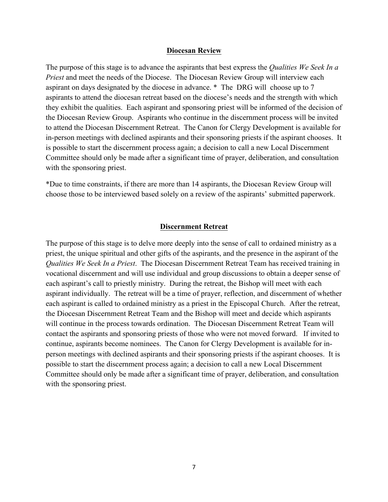#### **Diocesan Review**

The purpose of this stage is to advance the aspirants that best express the *Qualities We Seek In a Priest* and meet the needs of the Diocese. The Diocesan Review Group will interview each aspirant on days designated by the diocese in advance. \* The DRG will choose up to 7 aspirants to attend the diocesan retreat based on the diocese's needs and the strength with which they exhibit the qualities. Each aspirant and sponsoring priest will be informed of the decision of the Diocesan Review Group. Aspirants who continue in the discernment process will be invited to attend the Diocesan Discernment Retreat. The Canon for Clergy Development is available for in-person meetings with declined aspirants and their sponsoring priests if the aspirant chooses. It is possible to start the discernment process again; a decision to call a new Local Discernment Committee should only be made after a significant time of prayer, deliberation, and consultation with the sponsoring priest.

\*Due to time constraints, if there are more than 14 aspirants, the Diocesan Review Group will choose those to be interviewed based solely on a review of the aspirants' submitted paperwork.

#### **Discernment Retreat**

The purpose of this stage is to delve more deeply into the sense of call to ordained ministry as a priest, the unique spiritual and other gifts of the aspirants, and the presence in the aspirant of the *Qualities We Seek In a Priest*. The Diocesan Discernment Retreat Team has received training in vocational discernment and will use individual and group discussions to obtain a deeper sense of each aspirant's call to priestly ministry. During the retreat, the Bishop will meet with each aspirant individually. The retreat will be a time of prayer, reflection, and discernment of whether each aspirant is called to ordained ministry as a priest in the Episcopal Church. After the retreat, the Diocesan Discernment Retreat Team and the Bishop will meet and decide which aspirants will continue in the process towards ordination. The Diocesan Discernment Retreat Team will contact the aspirants and sponsoring priests of those who were not moved forward. If invited to continue, aspirants become nominees. The Canon for Clergy Development is available for inperson meetings with declined aspirants and their sponsoring priests if the aspirant chooses. It is possible to start the discernment process again; a decision to call a new Local Discernment Committee should only be made after a significant time of prayer, deliberation, and consultation with the sponsoring priest.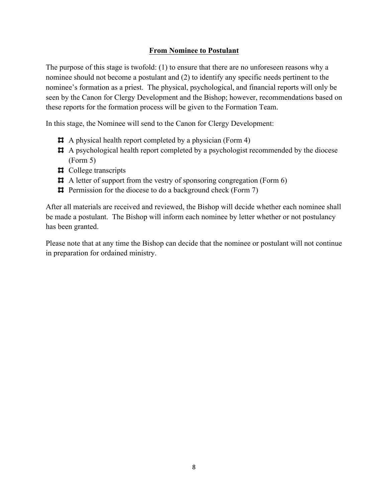### **From Nominee to Postulant**

The purpose of this stage is twofold: (1) to ensure that there are no unforeseen reasons why a nominee should not become a postulant and (2) to identify any specific needs pertinent to the nominee's formation as a priest. The physical, psychological, and financial reports will only be seen by the Canon for Clergy Development and the Bishop; however, recommendations based on these reports for the formation process will be given to the Formation Team.

In this stage, the Nominee will send to the Canon for Clergy Development:

- A physical health report completed by a physician (Form 4)
- A psychological health report completed by a psychologist recommended by the diocese (Form 5)
- $\sharp$  College transcripts
- A letter of support from the vestry of sponsoring congregation (Form 6)
- $\sharp$  Permission for the diocese to do a background check (Form 7)

After all materials are received and reviewed, the Bishop will decide whether each nominee shall be made a postulant. The Bishop will inform each nominee by letter whether or not postulancy has been granted.

Please note that at any time the Bishop can decide that the nominee or postulant will not continue in preparation for ordained ministry.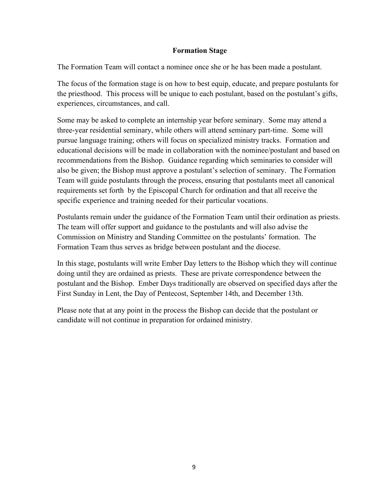### **Formation Stage**

The Formation Team will contact a nominee once she or he has been made a postulant.

The focus of the formation stage is on how to best equip, educate, and prepare postulants for the priesthood. This process will be unique to each postulant, based on the postulant's gifts, experiences, circumstances, and call.

Some may be asked to complete an internship year before seminary. Some may attend a three-year residential seminary, while others will attend seminary part-time. Some will pursue language training; others will focus on specialized ministry tracks. Formation and educational decisions will be made in collaboration with the nominee/postulant and based on recommendations from the Bishop. Guidance regarding which seminaries to consider will also be given; the Bishop must approve a postulant's selection of seminary. The Formation Team will guide postulants through the process, ensuring that postulants meet all canonical requirements set forth by the Episcopal Church for ordination and that all receive the specific experience and training needed for their particular vocations.

Postulants remain under the guidance of the Formation Team until their ordination as priests. The team will offer support and guidance to the postulants and will also advise the Commission on Ministry and Standing Committee on the postulants' formation. The Formation Team thus serves as bridge between postulant and the diocese.

In this stage, postulants will write Ember Day letters to the Bishop which they will continue doing until they are ordained as priests. These are private correspondence between the postulant and the Bishop. Ember Days traditionally are observed on specified days after the First Sunday in Lent, the Day of Pentecost, September 14th, and December 13th.

Please note that at any point in the process the Bishop can decide that the postulant or candidate will not continue in preparation for ordained ministry.